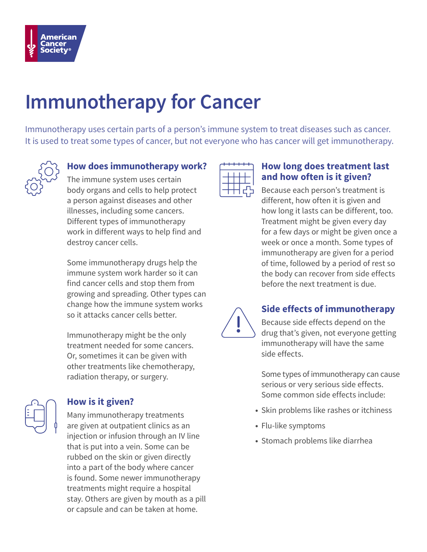

# **Immunotherapy for Cancer**

Immunotherapy uses certain parts of a person's immune system to treat diseases such as cancer. It is used to treat some types of cancer, but not everyone who has cancer will get immunotherapy.



## **How does immunotherapy work?**

The immune system uses certain body organs and cells to help protect a person against diseases and other illnesses, including some cancers. Different types of immunotherapy work in different ways to help find and destroy cancer cells.

Some immunotherapy drugs help the immune system work harder so it can find cancer cells and stop them from growing and spreading. Other types can change how the immune system works so it attacks cancer cells better.

Immunotherapy might be the only treatment needed for some cancers. Or, sometimes it can be given with other treatments like chemotherapy, radiation therapy, or surgery.



# **How is it given?**

Many immunotherapy treatments are given at outpatient clinics as an injection or infusion through an IV line that is put into a vein. Some can be rubbed on the skin or given directly into a part of the body where cancer is found. Some newer immunotherapy treatments might require a hospital stay. Others are given by mouth as a pill or capsule and can be taken at home.



#### **How long does treatment last and how often is it given?**

Because each person's treatment is different, how often it is given and how long it lasts can be different, too. Treatment might be given every day for a few days or might be given once a week or once a month. Some types of immunotherapy are given for a period of time, followed by a period of rest so the body can recover from side effects before the next treatment is due.



# **Side effects of immunotherapy**

Because side effects depend on the drug that's given, not everyone getting immunotherapy will have the same side effects.

Some types of immunotherapy can cause serious or very serious side effects. Some common side effects include:

- Skin problems like rashes or itchiness
- Flu-like symptoms
- Stomach problems like diarrhea